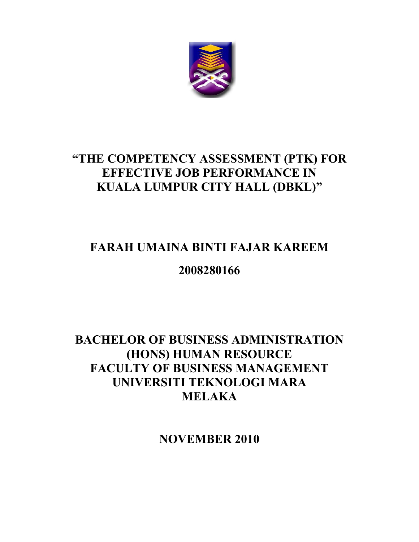

## **"THE COMPETENCY ASSESSMENT (PTK) FOR EFFECTIVE JOB PERFORMANCE IN KUALA LUMPUR CITY HALL (DBKL)"**

# **FARAH UMAINA BINTI FAJAR KAREEM**

## **2008280166**

### **BACHELOR OF BUSINESS ADMINISTRATION (HONS) HUMAN RESOURCE FACULTY OF BUSINESS MANAGEMENT UNIVERSITI TEKNOLOGI MARA MELAKA**

**NOVEMBER 2010**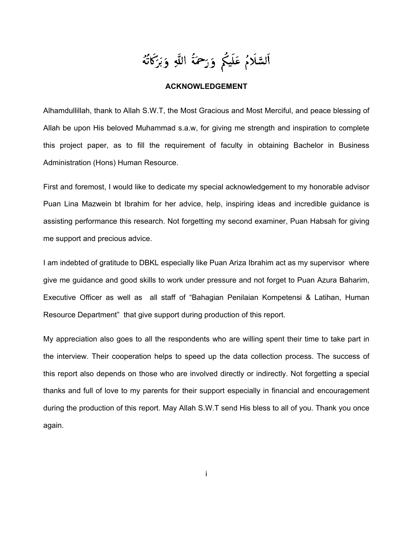اَلسَّلَامُ عَلَيْكُم وَرَحْمَةُ اللَّهِ وَبَرَكَاتُهُ

### **ACKNOWLEDGEMENT**

Alhamdullillah, thank to Allah S.W.T, the Most Gracious and Most Merciful, and peace blessing of Allah be upon His beloved Muhammad s.a.w, for giving me strength and inspiration to complete this project paper, as to fill the requirement of faculty in obtaining Bachelor in Business Administration (Hons) Human Resource.

First and foremost, I would like to dedicate my special acknowledgement to my honorable advisor Puan Lina Mazwein bt Ibrahim for her advice, help, inspiring ideas and incredible guidance is assisting performance this research. Not forgetting my second examiner, Puan Habsah for giving me support and precious advice.

I am indebted of gratitude to DBKL especially like Puan Ariza Ibrahim act as my supervisor where give me guidance and good skills to work under pressure and not forget to Puan Azura Baharim, Executive Officer as well as all staff of "Bahagian Penilaian Kompetensi & Latihan, Human Resource Department" that give support during production of this report.

My appreciation also goes to all the respondents who are willing spent their time to take part in the interview. Their cooperation helps to speed up the data collection process. The success of this report also depends on those who are involved directly or indirectly. Not forgetting a special thanks and full of love to my parents for their support especially in financial and encouragement during the production of this report. May Allah S.W.T send His bless to all of you. Thank you once again.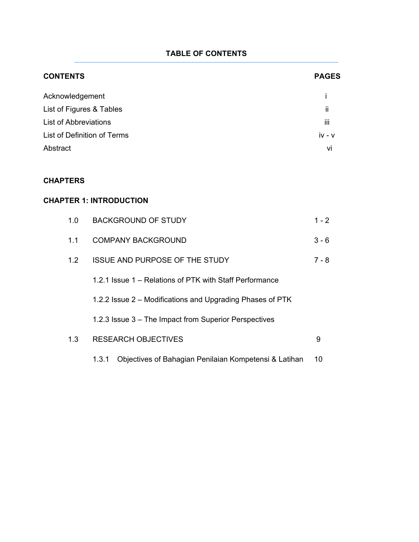### **TABLE OF CONTENTS**

| <b>CONTENTS</b>                                                                                                        |                                                                | <b>PAGES</b>                      |
|------------------------------------------------------------------------------------------------------------------------|----------------------------------------------------------------|-----------------------------------|
| Acknowledgement<br>List of Figures & Tables<br><b>List of Abbreviations</b><br>List of Definition of Terms<br>Abstract |                                                                | İ<br>ii<br>iii.<br>$iv - v$<br>vi |
| <b>CHAPTERS</b>                                                                                                        |                                                                |                                   |
| <b>CHAPTER 1: INTRODUCTION</b>                                                                                         |                                                                |                                   |
| 1.0                                                                                                                    | <b>BACKGROUND OF STUDY</b>                                     | $1 - 2$                           |
| 1.1                                                                                                                    | <b>COMPANY BACKGROUND</b>                                      | $3 - 6$                           |
| 1.2                                                                                                                    | <b>ISSUE AND PURPOSE OF THE STUDY</b>                          | $7 - 8$                           |
|                                                                                                                        | 1.2.1 Issue 1 - Relations of PTK with Staff Performance        |                                   |
|                                                                                                                        | 1.2.2 Issue 2 - Modifications and Upgrading Phases of PTK      |                                   |
|                                                                                                                        | 1.2.3 Issue 3 - The Impact from Superior Perspectives          |                                   |
| 1.3                                                                                                                    | <b>RESEARCH OBJECTIVES</b>                                     | 9                                 |
|                                                                                                                        | 1.3.1<br>Objectives of Bahagian Penilaian Kompetensi & Latihan | 10                                |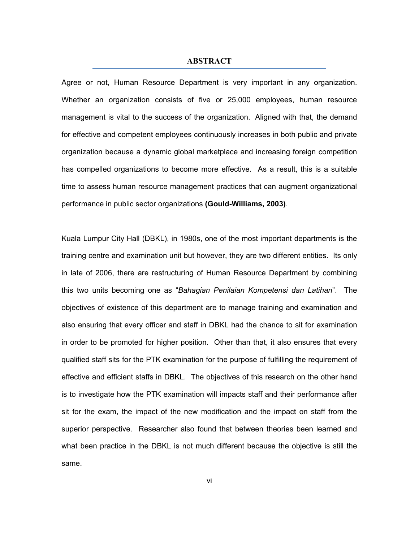### **ABSTRACT**

Agree or not, Human Resource Department is very important in any organization. Whether an organization consists of five or 25,000 employees, human resource management is vital to the success of the organization. Aligned with that, the demand for effective and competent employees continuously increases in both public and private organization because a dynamic global marketplace and increasing foreign competition has compelled organizations to become more effective. As a result, this is a suitable time to assess human resource management practices that can augment organizational performance in public sector organizations **(Gould-Williams, 2003)**.

Kuala Lumpur City Hall (DBKL), in 1980s, one of the most important departments is the training centre and examination unit but however, they are two different entities. Its only in late of 2006, there are restructuring of Human Resource Department by combining this two units becoming one as "*Bahagian Penilaian Kompetensi dan Latihan*". The objectives of existence of this department are to manage training and examination and also ensuring that every officer and staff in DBKL had the chance to sit for examination in order to be promoted for higher position. Other than that, it also ensures that every qualified staff sits for the PTK examination for the purpose of fulfilling the requirement of effective and efficient staffs in DBKL. The objectives of this research on the other hand is to investigate how the PTK examination will impacts staff and their performance after sit for the exam, the impact of the new modification and the impact on staff from the superior perspective. Researcher also found that between theories been learned and what been practice in the DBKL is not much different because the objective is still the same.

vi